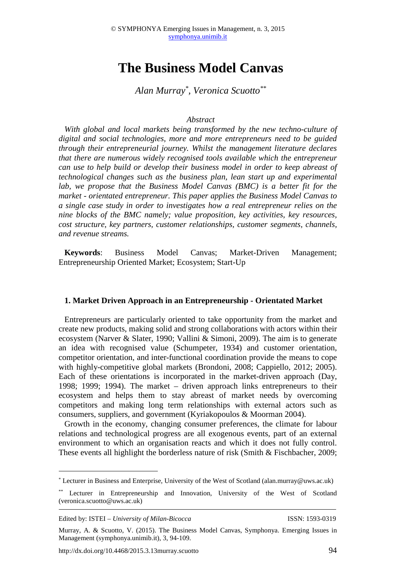# **The Business Model Canvas**

## *Alan Murray\* , Veronica Scuotto\*\**

#### *Abstract*

*With global and local markets being transformed by the new techno-culture of digital and social technologies, more and more entrepreneurs need to be guided through their entrepreneurial journey. Whilst the management literature declares that there are numerous widely recognised tools available which the entrepreneur can use to help build or develop their business model in order to keep abreast of technological changes such as the business plan, lean start up and experimental lab, we propose that the Business Model Canvas (BMC) is a better fit for the market - orientated entrepreneur. This paper applies the Business Model Canvas to a single case study in order to investigates how a real entrepreneur relies on the nine blocks of the BMC namely; value proposition, key activities, key resources, cost structure, key partners, customer relationships, customer segments, channels, and revenue streams.* 

**Keywords**: Business Model Canvas; Market-Driven Management; Entrepreneurship Oriented Market; Ecosystem; Start-Up

#### **1. Market Driven Approach in an Entrepreneurship - Orientated Market**

Entrepreneurs are particularly oriented to take opportunity from the market and create new products, making solid and strong collaborations with actors within their ecosystem (Narver & Slater, 1990; Vallini & Simoni, 2009). The aim is to generate an idea with recognised value (Schumpeter, 1934) and customer orientation, competitor orientation, and inter-functional coordination provide the means to cope with highly-competitive global markets (Brondoni, 2008; Cappiello, 2012; 2005). Each of these orientations is incorporated in the market-driven approach (Day, 1998; 1999; 1994). The market – driven approach links entrepreneurs to their ecosystem and helps them to stay abreast of market needs by overcoming competitors and making long term relationships with external actors such as consumers, suppliers, and government (Kyriakopoulos & Moorman 2004).

Growth in the economy, changing consumer preferences, the climate for labour relations and technological progress are all exogenous events, part of an external environment to which an organisation reacts and which it does not fully control. These events all highlight the borderless nature of risk (Smith & Fischbacher, 2009;

 $\overline{a}$ 

<sup>\*</sup> Lecturer in Business and Enterprise, University of the West of Scotland (alan.murray@uws.ac.uk)

Lecturer in Entrepreneurship and Innovation, University of the West of Scotland (veronica.scuotto@uws.ac.uk)

Edited by: ISTEI – *University of Milan-Bicocca* ISSN: 1593-0319

Murray, A. & Scuotto, V. (2015). The Business Model Canvas, Symphonya. Emerging Issues in Management (symphonya.unimib.it), 3, 94-109.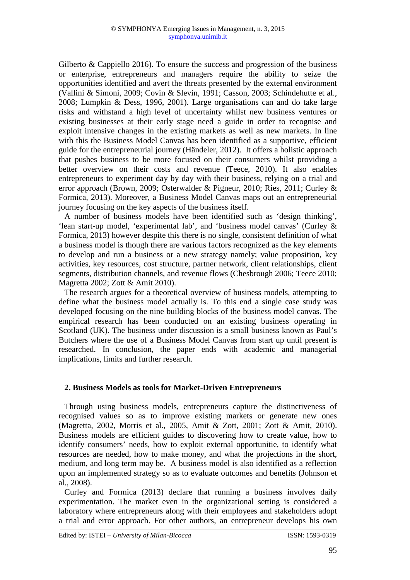Gilberto & Cappiello 2016). To ensure the success and progression of the business or enterprise, entrepreneurs and managers require the ability to seize the opportunities identified and avert the threats presented by the external environment (Vallini & Simoni, 2009; Covin & Slevin, 1991; Casson, 2003; Schindehutte et al., 2008; Lumpkin & Dess, 1996, 2001). Large organisations can and do take large risks and withstand a high level of uncertainty whilst new business ventures or existing businesses at their early stage need a guide in order to recognise and exploit intensive changes in the existing markets as well as new markets. In line with this the Business Model Canvas has been identified as a supportive, efficient guide for the entrepreneurial journey (Händeler, 2012). It offers a holistic approach that pushes business to be more focused on their consumers whilst providing a better overview on their costs and revenue (Teece, 2010). It also enables entrepreneurs to experiment day by day with their business, relying on a trial and error approach (Brown, 2009; Osterwalder & Pigneur, 2010; Ries, 2011; Curley & Formica, 2013). Moreover, a Business Model Canvas maps out an entrepreneurial journey focusing on the key aspects of the business itself.

A number of business models have been identified such as 'design thinking', 'lean start-up model, 'experimental lab', and 'business model canvas' (Curley & Formica, 2013) however despite this there is no single, consistent definition of what a business model is though there are various factors recognized as the key elements to develop and run a business or a new strategy namely; value proposition, key activities, key resources, cost structure, partner network, client relationships, client segments, distribution channels, and revenue flows (Chesbrough 2006; Teece 2010; Magretta 2002; Zott & Amit 2010).

The research argues for a theoretical overview of business models, attempting to define what the business model actually is. To this end a single case study was developed focusing on the nine building blocks of the business model canvas. The empirical research has been conducted on an existing business operating in Scotland (UK). The business under discussion is a small business known as Paul's Butchers where the use of a Business Model Canvas from start up until present is researched. In conclusion, the paper ends with academic and managerial implications, limits and further research.

### **2. Business Models as tools for Market-Driven Entrepreneurs**

Through using business models, entrepreneurs capture the distinctiveness of recognised values so as to improve existing markets or generate new ones (Magretta, 2002, Morris et al., 2005, Amit & Zott, 2001; Zott & Amit, 2010). Business models are efficient guides to discovering how to create value, how to identify consumers' needs, how to exploit external opportunitie, to identify what resources are needed, how to make money, and what the projections in the short, medium, and long term may be. A business model is also identified as a reflection upon an implemented strategy so as to evaluate outcomes and benefits (Johnson et al., 2008).

Curley and Formica (2013) declare that running a business involves daily experimentation. The market even in the organizational setting is considered a laboratory where entrepreneurs along with their employees and stakeholders adopt a trial and error approach. For other authors, an entrepreneur develops his own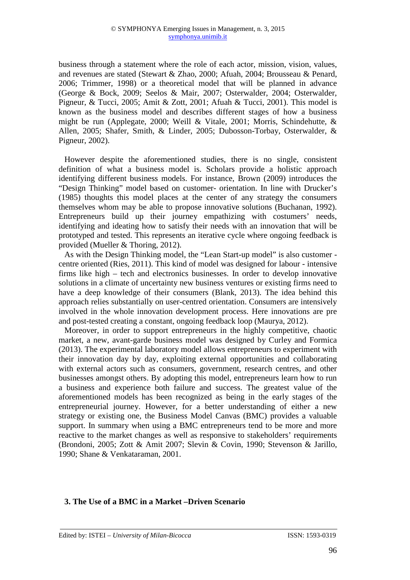business through a statement where the role of each actor, mission, vision, values, and revenues are stated (Stewart & Zhao, 2000; Afuah, 2004; Brousseau & Penard, 2006; Trimmer, 1998) or a theoretical model that will be planned in advance (George & Bock, 2009; Seelos & Mair, 2007; Osterwalder, 2004; Osterwalder, Pigneur, & Tucci, 2005; Amit & Zott, 2001; Afuah & Tucci, 2001). This model is known as the business model and describes different stages of how a business might be run (Applegate, 2000; Weill & Vitale, 2001; Morris, Schindehutte, & Allen, 2005; Shafer, Smith, & Linder, 2005; Dubosson-Torbay, Osterwalder, & Pigneur, 2002).

However despite the aforementioned studies, there is no single, consistent definition of what a business model is. Scholars provide a holistic approach identifying different business models. For instance, Brown (2009) introduces the "Design Thinking" model based on customer- orientation. In line with Drucker's (1985) thoughts this model places at the center of any strategy the consumers themselves whom may be able to propose innovative solutions (Buchanan, 1992). Entrepreneurs build up their journey empathizing with costumers' needs, identifying and ideating how to satisfy their needs with an innovation that will be prototyped and tested. This represents an iterative cycle where ongoing feedback is provided (Mueller & Thoring, 2012).

As with the Design Thinking model, the "Lean Start-up model" is also customer centre oriented (Ries, 2011). This kind of model was designed for labour - intensive firms like high – tech and electronics businesses. In order to develop innovative solutions in a climate of uncertainty new business ventures or existing firms need to have a deep knowledge of their consumers (Blank, 2013). The idea behind this approach relies substantially on user-centred orientation. Consumers are intensively involved in the whole innovation development process. Here innovations are pre and post-tested creating a constant, ongoing feedback loop (Maurya, 2012).

Moreover, in order to support entrepreneurs in the highly competitive, chaotic market, a new, avant-garde business model was designed by Curley and Formica (2013). The experimental laboratory model allows entrepreneurs to experiment with their innovation day by day, exploiting external opportunities and collaborating with external actors such as consumers, government, research centres, and other businesses amongst others. By adopting this model, entrepreneurs learn how to run a business and experience both failure and success. The greatest value of the aforementioned models has been recognized as being in the early stages of the entrepreneurial journey. However, for a better understanding of either a new strategy or existing one, the Business Model Canvas (BMC) provides a valuable support. In summary when using a BMC entrepreneurs tend to be more and more reactive to the market changes as well as responsive to stakeholders' requirements (Brondoni, 2005; Zott & Amit 2007; Slevin & Covin, 1990; Stevenson & Jarillo, 1990; Shane & Venkataraman, 2001.

#### **3. The Use of a BMC in a Market –Driven Scenario**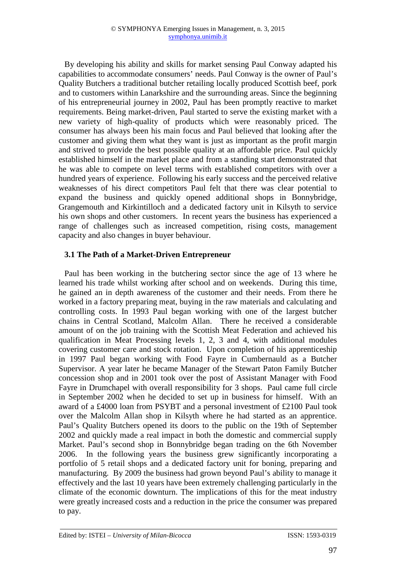By developing his ability and skills for market sensing Paul Conway adapted his capabilities to accommodate consumers' needs. Paul Conway is the owner of Paul's Quality Butchers a traditional butcher retailing locally produced Scottish beef, pork and to customers within Lanarkshire and the surrounding areas. Since the beginning of his entrepreneurial journey in 2002, Paul has been promptly reactive to market requirements. Being market-driven, Paul started to serve the existing market with a new variety of high-quality of products which were reasonably priced. The consumer has always been his main focus and Paul believed that looking after the customer and giving them what they want is just as important as the profit margin and strived to provide the best possible quality at an affordable price. Paul quickly established himself in the market place and from a standing start demonstrated that he was able to compete on level terms with established competitors with over a hundred years of experience. Following his early success and the perceived relative weaknesses of his direct competitors Paul felt that there was clear potential to expand the business and quickly opened additional shops in Bonnybridge, Grangemouth and Kirkintilloch and a dedicated factory unit in Kilsyth to service his own shops and other customers. In recent years the business has experienced a range of challenges such as increased competition, rising costs, management capacity and also changes in buyer behaviour.

## **3.1 The Path of a Market-Driven Entrepreneur**

Paul has been working in the butchering sector since the age of 13 where he learned his trade whilst working after school and on weekends. During this time, he gained an in depth awareness of the customer and their needs. From there he worked in a factory preparing meat, buying in the raw materials and calculating and controlling costs. In 1993 Paul began working with one of the largest butcher chains in Central Scotland, Malcolm Allan. There he received a considerable amount of on the job training with the Scottish Meat Federation and achieved his qualification in Meat Processing levels 1, 2, 3 and 4, with additional modules covering customer care and stock rotation. Upon completion of his apprenticeship in 1997 Paul began working with Food Fayre in Cumbernauld as a Butcher Supervisor. A year later he became Manager of the Stewart Paton Family Butcher concession shop and in 2001 took over the post of Assistant Manager with Food Fayre in Drumchapel with overall responsibility for 3 shops. Paul came full circle in September 2002 when he decided to set up in business for himself. With an award of a £4000 loan from PSYBT and a personal investment of £2100 Paul took over the Malcolm Allan shop in Kilsyth where he had started as an apprentice. Paul's Quality Butchers opened its doors to the public on the 19th of September 2002 and quickly made a real impact in both the domestic and commercial supply Market. Paul's second shop in Bonnybridge began trading on the 6th November 2006. In the following years the business grew significantly incorporating a portfolio of 5 retail shops and a dedicated factory unit for boning, preparing and manufacturing. By 2009 the business had grown beyond Paul's ability to manage it effectively and the last 10 years have been extremely challenging particularly in the climate of the economic downturn. The implications of this for the meat industry were greatly increased costs and a reduction in the price the consumer was prepared to pay.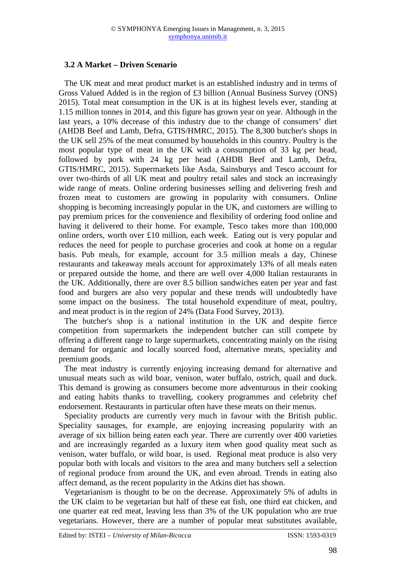## **3.2 A Market – Driven Scenario**

The UK meat and meat product market is an established industry and in terms of Gross Valued Added is in the region of £3 billion (Annual Business Survey (ONS) 2015). Total meat consumption in the UK is at its highest levels ever, standing at 1.15 million tonnes in 2014, and this figure has grown year on year. Although in the last years, a 10% decrease of this industry due to the change of consumers' diet (AHDB Beef and Lamb, Defra, GTIS/HMRC, 2015). The 8,300 butcher's shops in the UK sell 25% of the meat consumed by households in this country. Poultry is the most popular type of meat in the UK with a consumption of 33 kg per head, followed by pork with 24 kg per head (AHDB Beef and Lamb, Defra, GTIS/HMRC, 2015). Supermarkets like Asda, Sainsburys and Tesco account for over two-thirds of all UK meat and poultry retail sales and stock an increasingly wide range of meats. Online ordering businesses selling and delivering fresh and frozen meat to customers are growing in popularity with consumers. Online shopping is becoming increasingly popular in the UK, and customers are willing to pay premium prices for the convenience and flexibility of ordering food online and having it delivered to their home. For example, Tesco takes more than 100,000 online orders, worth over £10 million, each week. Eating out is very popular and reduces the need for people to purchase groceries and cook at home on a regular basis. Pub meals, for example, account for 3.5 million meals a day, Chinese restaurants and takeaway meals account for approximately 13% of all meals eaten or prepared outside the home, and there are well over 4,000 Italian restaurants in the UK. Additionally, there are over 8.5 billion sandwiches eaten per year and fast food and burgers are also very popular and these trends will undoubtedly have some impact on the business. The total household expenditure of meat, poultry, and meat product is in the region of 24% (Data Food Survey, 2013).

The butcher's shop is a national institution in the UK and despite fierce competition from supermarkets the independent butcher can still compete by offering a different range to large supermarkets, concentrating mainly on the rising demand for organic and locally sourced food, alternative meats, speciality and premium goods.

The meat industry is currently enjoying increasing demand for alternative and unusual meats such as wild boar, venison, water buffalo, ostrich, quail and duck. This demand is growing as consumers become more adventurous in their cooking and eating habits thanks to travelling, cookery programmes and celebrity chef endorsement. Restaurants in particular often have these meats on their menus.

Speciality products are currently very much in favour with the British public. Speciality sausages, for example, are enjoying increasing popularity with an average of six billion being eaten each year. There are currently over 400 varieties and are increasingly regarded as a luxury item when good quality meat such as venison, water buffalo, or wild boar, is used. Regional meat produce is also very popular both with locals and visitors to the area and many butchers sell a selection of regional produce from around the UK, and even abroad. Trends in eating also affect demand, as the recent popularity in the Atkins diet has shown.

Vegetarianism is thought to be on the decrease. Approximately 5% of adults in the UK claim to be vegetarian but half of these eat fish, one third eat chicken, and one quarter eat red meat, leaving less than 3% of the UK population who are true vegetarians. However, there are a number of popular meat substitutes available,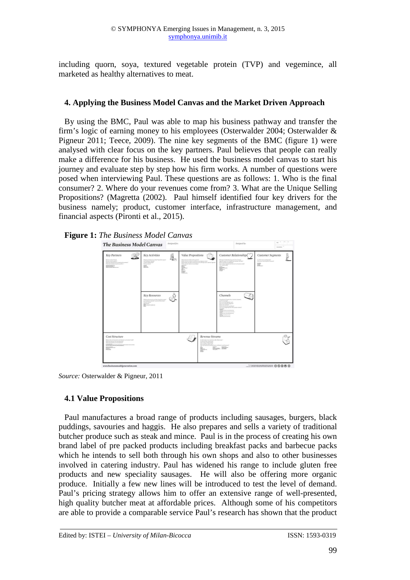including quorn, soya, textured vegetable protein (TVP) and vegemince, all marketed as healthy alternatives to meat.

## **4. Applying the Business Model Canvas and the Market Driven Approach**

By using the BMC, Paul was able to map his business pathway and transfer the firm's logic of earning money to his employees (Osterwalder 2004; Osterwalder & Pigneur 2011; Teece, 2009). The nine key segments of the BMC (figure 1) were analysed with clear focus on the key partners. Paul believes that people can really make a difference for his business. He used the business model canvas to start his journey and evaluate step by step how his firm works. A number of questions were posed when interviewing Paul. These questions are as follows: 1. Who is the final consumer? 2. Where do your revenues come from? 3. What are the Unique Selling Propositions? (Magretta (2002). Paul himself identified four key drivers for the business namely; product, customer interface, infrastructure management, and financial aspects (Pironti et al., 2015).





*Source:* Osterwalder & Pigneur, 2011

## **4.1 Value Propositions**

Paul manufactures a broad range of products including sausages, burgers, black puddings, savouries and haggis. He also prepares and sells a variety of traditional butcher produce such as steak and mince. Paul is in the process of creating his own brand label of pre packed products including breakfast packs and barbecue packs which he intends to sell both through his own shops and also to other businesses involved in catering industry. Paul has widened his range to include gluten free products and new speciality sausages. He will also be offering more organic produce. Initially a few new lines will be introduced to test the level of demand. Paul's pricing strategy allows him to offer an extensive range of well-presented, high quality butcher meat at affordable prices. Although some of his competitors are able to provide a comparable service Paul's research has shown that the product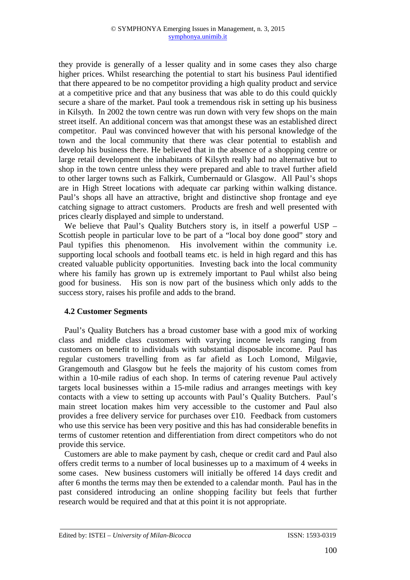they provide is generally of a lesser quality and in some cases they also charge higher prices. Whilst researching the potential to start his business Paul identified that there appeared to be no competitor providing a high quality product and service at a competitive price and that any business that was able to do this could quickly secure a share of the market. Paul took a tremendous risk in setting up his business in Kilsyth. In 2002 the town centre was run down with very few shops on the main street itself. An additional concern was that amongst these was an established direct competitor. Paul was convinced however that with his personal knowledge of the town and the local community that there was clear potential to establish and develop his business there. He believed that in the absence of a shopping centre or large retail development the inhabitants of Kilsyth really had no alternative but to shop in the town centre unless they were prepared and able to travel further afield to other larger towns such as Falkirk, Cumbernauld or Glasgow. All Paul's shops are in High Street locations with adequate car parking within walking distance. Paul's shops all have an attractive, bright and distinctive shop frontage and eye catching signage to attract customers. Products are fresh and well presented with prices clearly displayed and simple to understand.

We believe that Paul's Quality Butchers story is, in itself a powerful USP – Scottish people in particular love to be part of a "local boy done good" story and Paul typifies this phenomenon. His involvement within the community i.e. supporting local schools and football teams etc. is held in high regard and this has created valuable publicity opportunities. Investing back into the local community where his family has grown up is extremely important to Paul whilst also being good for business. His son is now part of the business which only adds to the success story, raises his profile and adds to the brand.

### **4.2 Customer Segments**

Paul's Quality Butchers has a broad customer base with a good mix of working class and middle class customers with varying income levels ranging from customers on benefit to individuals with substantial disposable income. Paul has regular customers travelling from as far afield as Loch Lomond, Milgavie, Grangemouth and Glasgow but he feels the majority of his custom comes from within a 10-mile radius of each shop. In terms of catering revenue Paul actively targets local businesses within a 15-mile radius and arranges meetings with key contacts with a view to setting up accounts with Paul's Quality Butchers. Paul's main street location makes him very accessible to the customer and Paul also provides a free delivery service for purchases over £10. Feedback from customers who use this service has been very positive and this has had considerable benefits in terms of customer retention and differentiation from direct competitors who do not provide this service.

Customers are able to make payment by cash, cheque or credit card and Paul also offers credit terms to a number of local businesses up to a maximum of 4 weeks in some cases. New business customers will initially be offered 14 days credit and after 6 months the terms may then be extended to a calendar month. Paul has in the past considered introducing an online shopping facility but feels that further research would be required and that at this point it is not appropriate.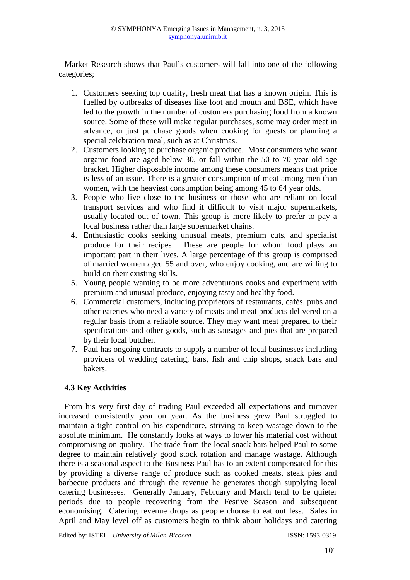Market Research shows that Paul's customers will fall into one of the following categories;

- 1. Customers seeking top quality, fresh meat that has a known origin. This is fuelled by outbreaks of diseases like foot and mouth and BSE, which have led to the growth in the number of customers purchasing food from a known source. Some of these will make regular purchases, some may order meat in advance, or just purchase goods when cooking for guests or planning a special celebration meal, such as at Christmas.
- 2. Customers looking to purchase organic produce. Most consumers who want organic food are aged below 30, or fall within the 50 to 70 year old age bracket. Higher disposable income among these consumers means that price is less of an issue. There is a greater consumption of meat among men than women, with the heaviest consumption being among 45 to 64 year olds.
- 3. People who live close to the business or those who are reliant on local transport services and who find it difficult to visit major supermarkets, usually located out of town. This group is more likely to prefer to pay a local business rather than large supermarket chains.
- 4. Enthusiastic cooks seeking unusual meats, premium cuts, and specialist produce for their recipes. These are people for whom food plays an important part in their lives. A large percentage of this group is comprised of married women aged 55 and over, who enjoy cooking, and are willing to build on their existing skills.
- 5. Young people wanting to be more adventurous cooks and experiment with premium and unusual produce, enjoying tasty and healthy food.
- 6. Commercial customers, including proprietors of restaurants, cafés, pubs and other eateries who need a variety of meats and meat products delivered on a regular basis from a reliable source. They may want meat prepared to their specifications and other goods, such as sausages and pies that are prepared by their local butcher.
- 7. Paul has ongoing contracts to supply a number of local businesses including providers of wedding catering, bars, fish and chip shops, snack bars and bakers.

## **4.3 Key Activities**

From his very first day of trading Paul exceeded all expectations and turnover increased consistently year on year. As the business grew Paul struggled to maintain a tight control on his expenditure, striving to keep wastage down to the absolute minimum. He constantly looks at ways to lower his material cost without compromising on quality. The trade from the local snack bars helped Paul to some degree to maintain relatively good stock rotation and manage wastage. Although there is a seasonal aspect to the Business Paul has to an extent compensated for this by providing a diverse range of produce such as cooked meats, steak pies and barbecue products and through the revenue he generates though supplying local catering businesses.Generally January, February and March tend to be quieter periods due to people recovering from the Festive Season and subsequent economising. Catering revenue drops as people choose to eat out less. Sales in April and May level off as customers begin to think about holidays and catering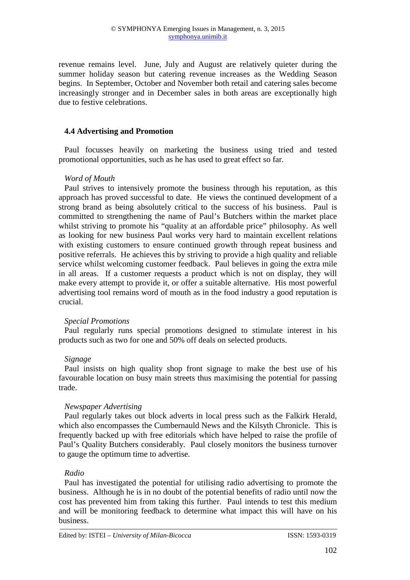revenue remains level. June, July and August are relatively quieter during the summer holiday season but catering revenue increases as the Wedding Season begins. In September, October and November both retail and catering sales become increasingly stronger and in December sales in both areas are exceptionally high due to festive celebrations.

#### **4.4 Advertising and Promotion**

Paul focusses heavily on marketing the business using tried and tested promotional opportunities, such as he has used to great effect so far.

#### *Word of Mouth*

Paul strives to intensively promote the business through his reputation, as this approach has proved successful to date. He views the continued development of a strong brand as being absolutely critical to the success of his business. Paul is committed to strengthening the name of Paul's Butchers within the market place whilst striving to promote his "quality at an affordable price" philosophy. As well as looking for new business Paul works very hard to maintain excellent relations with existing customers to ensure continued growth through repeat business and positive referrals. He achieves this by striving to provide a high quality and reliable service whilst welcoming customer feedback. Paul believes in going the extra mile in all areas. If a customer requests a product which is not on display, they will make every attempt to provide it, or offer a suitable alternative. His most powerful advertising tool remains word of mouth as in the food industry a good reputation is crucial.

### *Special Promotions*

Paul regularly runs special promotions designed to stimulate interest in his products such as two for one and 50% off deals on selected products.

#### *Signage*

Paul insists on high quality shop front signage to make the best use of his favourable location on busy main streets thus maximising the potential for passing trade.

### *Newspaper Advertising*

Paul regularly takes out block adverts in local press such as the Falkirk Herald, which also encompasses the Cumbernauld News and the Kilsyth Chronicle. This is frequently backed up with free editorials which have helped to raise the profile of Paul's Quality Butchers considerably. Paul closely monitors the business turnover to gauge the optimum time to advertise.

### *Radio*

Paul has investigated the potential for utilising radio advertising to promote the business. Although he is in no doubt of the potential benefits of radio until now the cost has prevented him from taking this further. Paul intends to test this medium and will be monitoring feedback to determine what impact this will have on his business.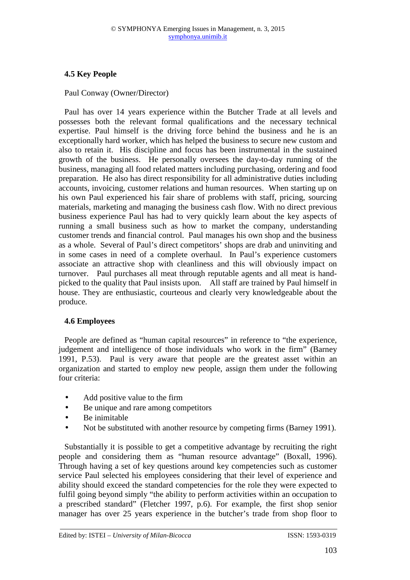# **4.5 Key People**

Paul Conway (Owner/Director)

Paul has over 14 years experience within the Butcher Trade at all levels and possesses both the relevant formal qualifications and the necessary technical expertise. Paul himself is the driving force behind the business and he is an exceptionally hard worker, which has helped the business to secure new custom and also to retain it. His discipline and focus has been instrumental in the sustained growth of the business. He personally oversees the day-to-day running of the business, managing all food related matters including purchasing, ordering and food preparation. He also has direct responsibility for all administrative duties including accounts, invoicing, customer relations and human resources. When starting up on his own Paul experienced his fair share of problems with staff, pricing, sourcing materials, marketing and managing the business cash flow. With no direct previous business experience Paul has had to very quickly learn about the key aspects of running a small business such as how to market the company, understanding customer trends and financial control. Paul manages his own shop and the business as a whole. Several of Paul's direct competitors' shops are drab and uninviting and in some cases in need of a complete overhaul. In Paul's experience customers associate an attractive shop with cleanliness and this will obviously impact on turnover. Paul purchases all meat through reputable agents and all meat is handpicked to the quality that Paul insists upon. All staff are trained by Paul himself in house. They are enthusiastic, courteous and clearly very knowledgeable about the produce.

## **4.6 Employees**

People are defined as "human capital resources" in reference to "the experience, judgement and intelligence of those individuals who work in the firm" (Barney 1991, P.53). Paul is very aware that people are the greatest asset within an organization and started to employ new people, assign them under the following four criteria:

- Add positive value to the firm
- Be unique and rare among competitors
- Be inimitable
- Not be substituted with another resource by competing firms (Barney 1991).

Substantially it is possible to get a competitive advantage by recruiting the right people and considering them as "human resource advantage" (Boxall, 1996). Through having a set of key questions around key competencies such as customer service Paul selected his employees considering that their level of experience and ability should exceed the standard competencies for the role they were expected to fulfil going beyond simply "the ability to perform activities within an occupation to a prescribed standard" (Fletcher 1997, p.6). For example, the first shop senior manager has over 25 years experience in the butcher's trade from shop floor to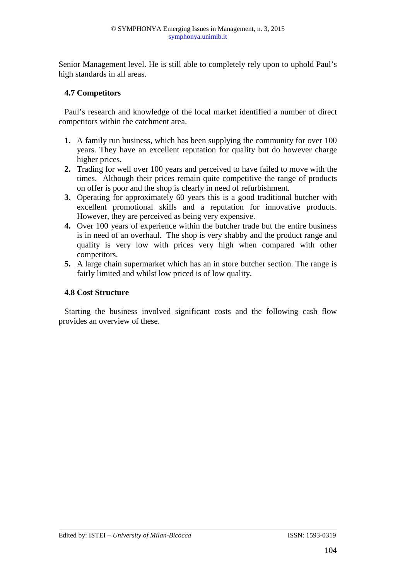Senior Management level. He is still able to completely rely upon to uphold Paul's high standards in all areas.

## **4.7 Competitors**

Paul's research and knowledge of the local market identified a number of direct competitors within the catchment area.

- **1.** A family run business, which has been supplying the community for over 100 years. They have an excellent reputation for quality but do however charge higher prices.
- **2.** Trading for well over 100 years and perceived to have failed to move with the times. Although their prices remain quite competitive the range of products on offer is poor and the shop is clearly in need of refurbishment.
- **3.** Operating for approximately 60 years this is a good traditional butcher with excellent promotional skills and a reputation for innovative products. However, they are perceived as being very expensive.
- **4.** Over 100 years of experience within the butcher trade but the entire business is in need of an overhaul. The shop is very shabby and the product range and quality is very low with prices very high when compared with other competitors.
- **5.** A large chain supermarket which has an in store butcher section. The range is fairly limited and whilst low priced is of low quality.

### **4.8 Cost Structure**

Starting the business involved significant costs and the following cash flow provides an overview of these.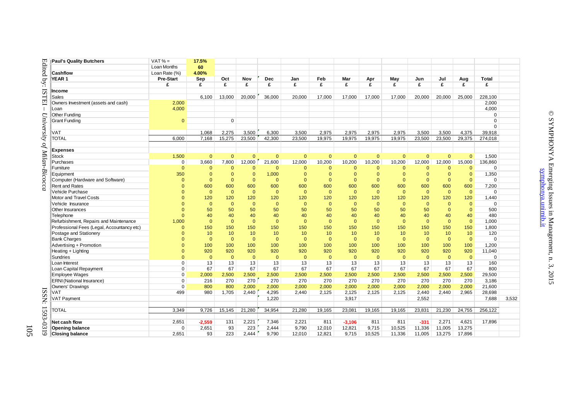|                  | <b>Paul's Quality Butchers</b>             | $VAT% =$                                     | 17.5%          |              |                |              |                |                |                |              |              |                |                |              |              |       |
|------------------|--------------------------------------------|----------------------------------------------|----------------|--------------|----------------|--------------|----------------|----------------|----------------|--------------|--------------|----------------|----------------|--------------|--------------|-------|
| Edited by:       |                                            | Loan Months                                  | 60             |              |                |              |                |                |                |              |              |                |                |              |              |       |
|                  | <b>Cashflow</b>                            | Loan Rate (%)                                | 4.00%          |              |                |              |                |                |                |              |              |                |                |              |              |       |
|                  | YEAR 1                                     | <b>Pre-Start</b>                             | Sep            | Oct          | Nov            | <b>Dec</b>   | Jan            | Feb            | Mar            | Apr          | May          | Jun            | Jul            | Aug          | <b>Total</b> |       |
|                  |                                            | £                                            | £              | £            | £              | £            | £              | £              | £              | £            | £            | £              | £              | £            | £            |       |
|                  | Income                                     |                                              |                |              |                |              |                |                |                |              |              |                |                |              |              |       |
| <b>ISTEI</b>     | Sales                                      |                                              | 6.100          | 13,000       | 20,000         | 36,000       | 20,000         | 17,000         | 17,000         | 17.000       | 17,000       | 20.000         | 20,000         | 25,000       | 228,100      |       |
|                  | Owners Investment (assets and cash)        | 2,000                                        |                |              |                |              |                |                |                |              |              |                |                |              | 2,000        |       |
|                  | Loan                                       | 4,000                                        |                |              |                |              |                |                |                |              |              |                |                |              | 4,000        |       |
|                  | Other Funding                              | $\mathbf{0}$                                 |                |              |                |              |                |                |                |              |              |                |                |              | $\Omega$     |       |
| University       | Grant Funding                              |                                              |                | $\Omega$     |                |              |                |                |                |              |              |                |                |              | $\Omega$     |       |
|                  |                                            |                                              |                |              |                |              |                |                |                |              |              |                |                |              | $\Omega$     |       |
|                  | <b>VAT</b>                                 |                                              | 1,068          | 2,275        | 3,500          | 6,300        | 3,500          | 2,975          | 2,975          | 2,975        | 2.975        | 3,500          | 3,500          | 4,375        | 39,918       |       |
|                  | <b>TOTAL</b>                               | 6.000                                        | 7.168          | 15.275       | 23.500         | 42.300       | 23.500         | 19.975         | 19.975         | 19.975       | 19.975       | 23.500         | 23,500         | 29,375       | 274,018      |       |
|                  |                                            |                                              |                |              |                |              |                |                |                |              |              |                |                |              |              |       |
|                  | <b>Expenses</b>                            |                                              |                |              |                |              |                |                |                |              |              |                |                |              |              |       |
|                  | <b>Stock</b>                               | 1,500                                        | $\Omega$       | $\Omega$     | $\Omega$       | $\mathbf{0}$ | $\overline{0}$ | $\mathbf{0}$   | $\overline{0}$ | $\Omega$     | $\Omega$     | $\mathbf{0}$   | $\Omega$       | $\Omega$     | 1,500        |       |
|                  | Purchases                                  | 0                                            | 3,660          | 7,800        | 12,000         | 21,600       | 12,000         | 10,200         | 10,200         | 10,200       | 10,200       | 12,000         | 12,000         | 15,000       | 136,860      |       |
|                  | Furniture                                  | $\mathbf{0}$                                 | $\mathbf 0$    | $\mathbf 0$  | $\Omega$       | $\mathbf{0}$ | $\Omega$       | $\Omega$       | $\Omega$       | $\mathbf{0}$ | $\Omega$     | $\mathbf{0}$   | $\Omega$       | $\mathbf{0}$ | $\Omega$     |       |
| of Milan-Bicocca | Equipment                                  | 350                                          | $\mathbf 0$    | $\mathbf{0}$ | $\Omega$       | 1,000        | $\Omega$       | $\Omega$       | $\Omega$       | $\mathbf{0}$ | $\Omega$     | $\mathbf{0}$   | $\mathbf{0}$   | $\mathbf{0}$ | 1,350        |       |
|                  | Computer (Hardware and Software)           | $\Omega$                                     | $\overline{0}$ | $\mathbf{0}$ | $\Omega$       | $\mathbf{0}$ | $\Omega$       | $\Omega$       | $\Omega$       | $\mathbf{0}$ | $\Omega$     | $\mathbf{0}$   | $\mathbf{0}$   | $\mathbf{0}$ | $\Omega$     |       |
|                  | <b>Rent and Rates</b>                      | $\Omega$                                     | 600            | 600          | 600            | 600          | 600            | 600            | 600            | 600          | 600          | 600            | 600            | 600          | 7.200        |       |
|                  | Vehicle Purchase                           | $\Omega$                                     | $\mathbf{0}$   | $\mathbf{0}$ | $\mathbf{0}$   | $\mathbf{0}$ | $\overline{0}$ | $\mathbf{0}$   | $\Omega$       | $\mathbf{0}$ | $\mathbf{0}$ | $\mathbf{0}$   | $\mathbf{0}$   | $\mathbf{0}$ | $\Omega$     |       |
|                  | Motor and Travel Costs                     | $\Omega$<br>$\Omega$<br>$\Omega$<br>$\Omega$ | 120            | 120          | 120            | 120          | 120            | 120            | 120            | 120          | 120          | 120            | 120            | 120          | 1,440        |       |
|                  | Vehicle Insurance                          |                                              | $\mathbf{0}$   | $\mathbf{0}$ | $\mathbf{0}$   | $\mathbf{0}$ | $\overline{0}$ | $\Omega$       | $\overline{0}$ | $\mathbf{0}$ | $\mathbf{0}$ | $\mathbf{0}$   | $\mathbf{0}$   | $\mathbf{0}$ | $\Omega$     |       |
|                  | <b>Other Insurances</b>                    |                                              | 50             | 50           | 50             | 50           | 50             | 50             | 50             | 50           | 50           | 50             | $\mathbf{0}$   | $\mathbf{0}$ | 500          |       |
|                  | Telephone                                  |                                              | 40             | 40           | 40             | 40           | 40             | 40             | 40             | 40           | 40           | 40             | 40             | 40           | 480          |       |
|                  | Refurbishment, Repairs and Maintenance     | 1,000                                        | $\overline{0}$ | $\mathbf{0}$ | $\Omega$       | $\mathbf{0}$ | $\overline{0}$ | $\Omega$       | $\overline{0}$ | $\mathbf{0}$ | $\mathbf{0}$ | $\mathbf{0}$   | $\mathbf{0}$   | $\mathbf{0}$ | 1.000        |       |
|                  | Professional Fees (Legal, Accountancy etc) | $\Omega$                                     | 150            | 150          | 150            | 150          | 150            | 150            | 150            | 150          | 150          | 150            | 150            | 150          | 1,800        |       |
|                  | Postage and Stationery                     | $\Omega$                                     | 10             | 10           | 10             | 10           | 10             | 10             | 10             | 10           | 10           | 10             | 10             | 10           | 120          |       |
|                  | <b>Bank Charges</b>                        | $\Omega$<br>$\Omega$                         | $\overline{0}$ | $\mathbf{0}$ | $\overline{0}$ | $\mathbf{0}$ | $\overline{0}$ | $\overline{0}$ | $\overline{0}$ | $\mathbf{0}$ | $\mathbf{0}$ | $\overline{0}$ | $\overline{0}$ | $\mathbf{0}$ | $\Omega$     |       |
|                  | Advertising + Promotion                    |                                              | 100            | 100          | 100            | 100          | 100            | 100            | 100            | 100          | 100          | 100            | 100            | 100          | 1,200        |       |
|                  | Heating + Lighting                         | $\Omega$                                     | 920            | 920          | 920            | 920          | 920            | 920            | 920            | 920          | 920          | 920            | 920            | 920          | 11,040       |       |
|                  | Sundries                                   | $\Omega$                                     | $\overline{0}$ | $\mathbf{0}$ | $\mathbf{0}$   | $\mathbf{0}$ | $\overline{0}$ | $\mathbf{0}$   | $\overline{0}$ | $\mathbf{0}$ | $\mathbf{0}$ | $\mathbf{0}$   | $\mathbf{0}$   | $\mathbf{0}$ | $\Omega$     |       |
|                  | Loan Interest                              | $\mathbf 0$                                  | 13             | 13           | 13             | 13           | 13             | 13             | 13             | 13           | 13           | 13             | 13             | 13           | 160          |       |
|                  | Loan Capital Repayment                     | $\Omega$                                     | 67             | 67           | 67             | 67           | 67             | 67             | 67             | 67           | 67           | 67             | 67             | 67           | 800          |       |
|                  | Employee Wages                             | $\mathbf 0$                                  | 2,000          | 2,500        | 2,500          | 2,500        | 2,500          | 2,500          | 2,500          | 2,500        | 2,500        | 2,500          | 2,500          | 2,500        | 29,500       |       |
|                  | <b>ERNI</b> (National Insurance)           | $\mathbf 0$                                  | 216            | 270          | 270            | 270          | 270            | 270            | 270            | 270          | 270          | 270            | 270            | 270          | 3,186        |       |
|                  | Owners' Drawings                           | $\Omega$                                     | 800            | 800          | 2,000          | 2,000        | 2,000          | 2,000          | 2,000          | 2,000        | 2,000        | 2,000          | 2,000          | 2,000        | 21,600       |       |
|                  | VAT                                        | 499                                          | 980            | 1,705        | 2,440          | 4,295        | 2,440          | 2,125          | 2,125          | 2,125        | 2,125        | 2,440          | 2,440          | 2,965        | 28,698       |       |
| ISSN:            | <b>VAT Payment</b>                         |                                              |                |              |                | 1,220        |                |                | 3,917          |              |              | 2,552          |                |              | 7,688        | 3,532 |
|                  |                                            |                                              |                |              |                |              |                |                |                |              |              |                |                |              |              |       |
| 1593             | <b>TOTAL</b>                               | 3,349                                        | 9,726          | 15,145       | 21,280         | 34,954       | 21,280         | 19,165         | 23,081         | 19,165       | 19,165       | 23,831         | 21,230         | 24,755       | 256,122      |       |
|                  |                                            |                                              |                |              |                |              |                |                |                |              |              |                |                |              |              |       |
| <b>9319</b>      | Net cash flow                              | 2,651                                        | $-2,559$       | 131          | 2.221          | 7,346        | 2.221          | 811            | $-3,106$       | 811          | 811          | $-331$         | 2,271          | 4,621        | 17,896       |       |
|                  | <b>Opening balance</b>                     | $\mathbf 0$                                  | 2,651          | 93           | 223            | 2,444        | 9,790          | 12,010         | 12,821         | 9,715        | 10,525       | 11,336         | 11,005         | 13,275       |              |       |
|                  | <b>Closing balance</b>                     | 2.651                                        | 93             | 223          | 2.444          | 9.790        | 12,010         | 12,821         | 9,715          | 10,525       | 11.336       | 11,005         | 13,275         | 17,896       |              |       |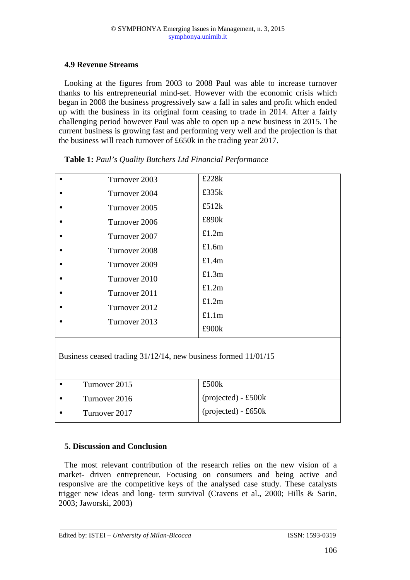## **4.9 Revenue Streams**

Looking at the figures from 2003 to 2008 Paul was able to increase turnover thanks to his entrepreneurial mind-set. However with the economic crisis which began in 2008 the business progressively saw a fall in sales and profit which ended up with the business in its original form ceasing to trade in 2014. After a fairly challenging period however Paul was able to open up a new business in 2015. The current business is growing fast and performing very well and the projection is that the business will reach turnover of £650k in the trading year 2017.

|                                                                | Turnover 2003 | £228k                |  |  |  |  |  |  |
|----------------------------------------------------------------|---------------|----------------------|--|--|--|--|--|--|
|                                                                | Turnover 2004 | £335 $k$             |  |  |  |  |  |  |
|                                                                | Turnover 2005 | £512 $k$<br>£890k    |  |  |  |  |  |  |
|                                                                | Turnover 2006 |                      |  |  |  |  |  |  |
|                                                                | Turnover 2007 | £1.2m                |  |  |  |  |  |  |
|                                                                | Turnover 2008 | £1.6m                |  |  |  |  |  |  |
|                                                                | Turnover 2009 | £1.4m                |  |  |  |  |  |  |
|                                                                | Turnover 2010 | £1.3m                |  |  |  |  |  |  |
|                                                                | Turnover 2011 | £1.2m                |  |  |  |  |  |  |
|                                                                | Turnover 2012 | £1.2m<br>£1.1m       |  |  |  |  |  |  |
|                                                                | Turnover 2013 |                      |  |  |  |  |  |  |
|                                                                |               | £900k                |  |  |  |  |  |  |
| Business ceased trading 31/12/14, new business formed 11/01/15 |               |                      |  |  |  |  |  |  |
|                                                                | Turnover 2015 | £500k                |  |  |  |  |  |  |
|                                                                | Turnover 2016 | $projected) - £500k$ |  |  |  |  |  |  |
|                                                                | Turnover 2017 | $projected) - £650k$ |  |  |  |  |  |  |
|                                                                |               |                      |  |  |  |  |  |  |

**Table 1:** *Paul's Quality Butchers Ltd Financial Performance* 

### **5. Discussion and Conclusion**

The most relevant contribution of the research relies on the new vision of a market- driven entrepreneur. Focusing on consumers and being active and responsive are the competitive keys of the analysed case study. These catalysts trigger new ideas and long- term survival (Cravens et al., 2000; Hills & Sarin, 2003; Jaworski, 2003)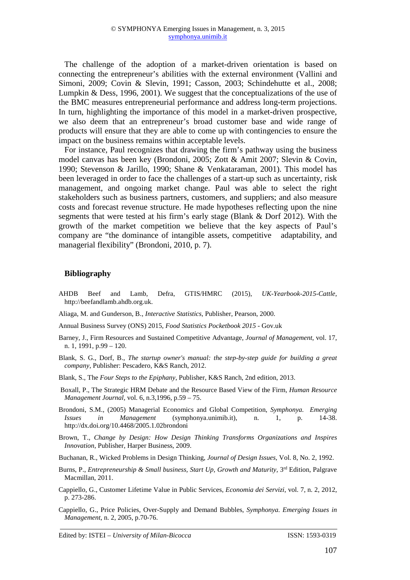The challenge of the adoption of a market-driven orientation is based on connecting the entrepreneur's abilities with the external environment (Vallini and Simoni, 2009; Covin & Slevin, 1991; Casson, 2003; Schindehutte et al., 2008; Lumpkin & Dess, 1996, 2001). We suggest that the conceptualizations of the use of the BMC measures entrepreneurial performance and address long-term projections. In turn, highlighting the importance of this model in a market-driven prospective, we also deem that an entrepreneur's broad customer base and wide range of products will ensure that they are able to come up with contingencies to ensure the impact on the business remains within acceptable levels.

For instance, Paul recognizes that drawing the firm's pathway using the business model canvas has been key (Brondoni, 2005; Zott & Amit 2007; Slevin & Covin, 1990; Stevenson & Jarillo, 1990; Shane & Venkataraman, 2001). This model has been leveraged in order to face the challenges of a start-up such as uncertainty, risk management, and ongoing market change. Paul was able to select the right stakeholders such as business partners, customers, and suppliers; and also measure costs and forecast revenue structure. He made hypotheses reflecting upon the nine segments that were tested at his firm's early stage (Blank & Dorf 2012). With the growth of the market competition we believe that the key aspects of Paul's company are "the dominance of intangible assets, competitive adaptability, and managerial flexibility" (Brondoni, 2010, p. 7).

#### **Bibliography**

AHDB Beef and Lamb, Defra, GTIS/HMRC (2015), *UK-Yearbook-2015-Cattle*, http://beefandlamb.ahdb.org.uk.

Aliaga, M. and Gunderson, B., *Interactive Statistics*, Publisher, Pearson, 2000.

Annual Business Survey (ONS) 2015, *Food Statistics Pocketbook 2015* - Gov.uk

- Barney, J., Firm Resources and Sustained Competitive Advantage, *Journal of Management*, vol. 17, n. 1, 1991, p.99 – 120.
- Blank, S. G., Dorf, B., *The startup owner's manual: the step-by-step guide for building a great company*, Publisher: Pescadero, K&S Ranch, 2012.
- Blank, S., The *Four Steps to the Epiphany*, Publisher, K&S Ranch, 2nd edition, 2013.
- Boxall, P., The Strategic HRM Debate and the Resource Based View of the Firm*, Human Resource Management Journal,* vol. 6, n.3,1996, p.59 – 75.
- Brondoni, S.M., (2005) Managerial Economics and Global Competition, *Symphonya. Emerging Issues in Management* (symphonya.unimib.it), n. 1, p. 14-38. http://dx.doi.org/10.4468/2005.1.02brondoni
- Brown, T., *Change by Design: How Design Thinking Transforms Organizations and Inspires Innovation*, Publisher, Harper Business, 2009.
- Buchanan, R., Wicked Problems in Design Thinking, *Journal of Design Issues*, Vol. 8, No. 2, 1992.
- Burns, P., *Entrepreneurship & Small business, Start Up, Growth and Maturity, 3<sup>rd</sup> Edition, Palgrave* Macmillan, 2011.
- Cappiello, G., Customer Lifetime Value in Public Services, *Economia dei Servizi*, vol. 7, n. 2, 2012, p. 273-286.
- Cappiello, G., Price Policies, Over-Supply and Demand Bubbles, *Symphonya. Emerging Issues in Management*, n. 2, 2005, p.70-76.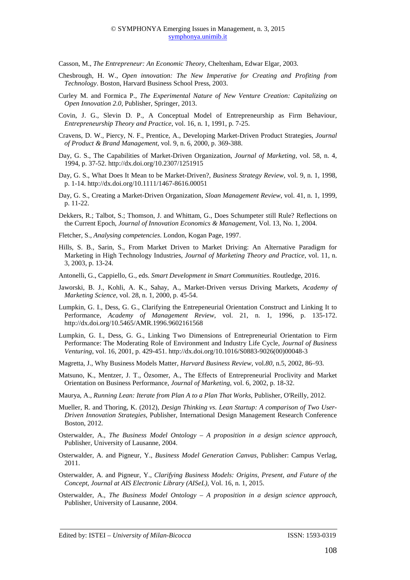Casson, M., *The Entrepreneur: An Economic Theory*, Cheltenham, Edwar Elgar, 2003.

- Chesbrough, H. W., *Open innovation: The New Imperative for Creating and Profiting from Technology*. Boston, Harvard Business School Press, 2003.
- Curley M. and Formica P., *The Experimental Nature of New Venture Creation: Capitalizing on Open Innovation 2.0*, Publisher, Springer, 2013.
- Covin, J. G., Slevin D. P., A Conceptual Model of Entrepreneurship as Firm Behaviour, *Entrepreneurship Theory and Practice*, vol. 16, n. 1, 1991, p. 7-25.
- Cravens, D. W., Piercy, N. F., Prentice, A., Developing Market-Driven Product Strategies, *Journal of Product & Brand Management*, vol. 9, n. 6, 2000, p. 369-388.
- Day, G. S., The Capabilities of Market-Driven Organization, *Journal of Marketing*, vol. 58, n. 4, 1994, p. 37-52. http://dx.doi.org/10.2307/1251915
- Day, G. S., What Does It Mean to be Market-Driven?, *Business Strategy Review*, vol. 9, n. 1, 1998, p. 1-14. http://dx.doi.org/10.1111/1467-8616.00051
- Day, G. S., Creating a Market-Driven Organization, *Sloan Management Review*, vol. 41, n. 1, 1999, p. 11-22.
- Dekkers, R.; Talbot, S.; Thomson, J. and Whittam, G., Does Schumpeter still Rule? Reflections on the Current Epoch, *Journal of Innovation Economics & Management*, Vol. 13, No. 1, 2004.
- Fletcher, S., *Analysing competencies*. London, Kogan Page, 1997.
- Hills, S. B., Sarin, S., From Market Driven to Market Driving: An Alternative Paradigm for Marketing in High Technology Industries, *Journal of Marketing Theory and Practice*, vol. 11, n. 3, 2003, p. 13-24.
- Antonelli, G., Cappiello, G., eds. *Smart Development in Smart Communities*. Routledge, 2016.
- Jaworski, B. J., Kohli, A. K., Sahay, A., Market-Driven versus Driving Markets, *Academy of Marketing Science*, vol. 28, n. 1, 2000, p. 45-54.
- Lumpkin, G. I., Dess, G. G., Clarifying the Entrepeneurial Orientation Construct and Linking It to Performance, *Academy of Management Review*, vol. 21, n. 1, 1996, p. 135-172. http://dx.doi.org/10.5465/AMR.1996.9602161568
- Lumpkin, G. I., Dess, G. G., Linking Two Dimensions of Entrepreneurial Orientation to Firm Performance: The Moderating Role of Environment and Industry Life Cycle, *Journal of Business Venturing*, vol. 16, 2001, p. 429-451. http://dx.doi.org/10.1016/S0883-9026(00)00048-3
- Magretta, J., Why Business Models Matter*, Harvard Business Review*, vol.*80*, n.5, 2002, 86–93.
- Matsuno, K., Mentzer, J. T., Özsomer, A., The Effects of Entrepreneurial Proclivity and Market Orientation on Business Performance, *Journal of Marketing,* vol. 6, 2002, p. 18-32.
- Maurya, A., *Running Lean: Iterate from Plan A to a Plan That Works*, Publisher, O'Reilly, 2012.
- Mueller, R. and Thoring, K. (2012), *Design Thinking vs. Lean Startup: A comparison of Two User-Driven Innovation Strategies*, Publisher, International Design Management Research Conference Boston, 2012.
- Osterwalder, A., *The Business Model Ontology A proposition in a design science approach,*  Publisher, University of Lausanne, 2004.
- Osterwalder, A. and Pigneur, Y., *Business Model Generation Canvas*, Publisher: Campus Verlag, 2011.
- Osterwalder, A. and Pigneur, Y., *Clarifying Business Models: Origins, Present, and Future of the Concept*, *Journal at AIS Electronic Library (AISeL),* Vol. 16, n. 1, 2015.
- Osterwalder, A., *The Business Model Ontology A proposition in a design science approach,*  Publisher, University of Lausanne, 2004.